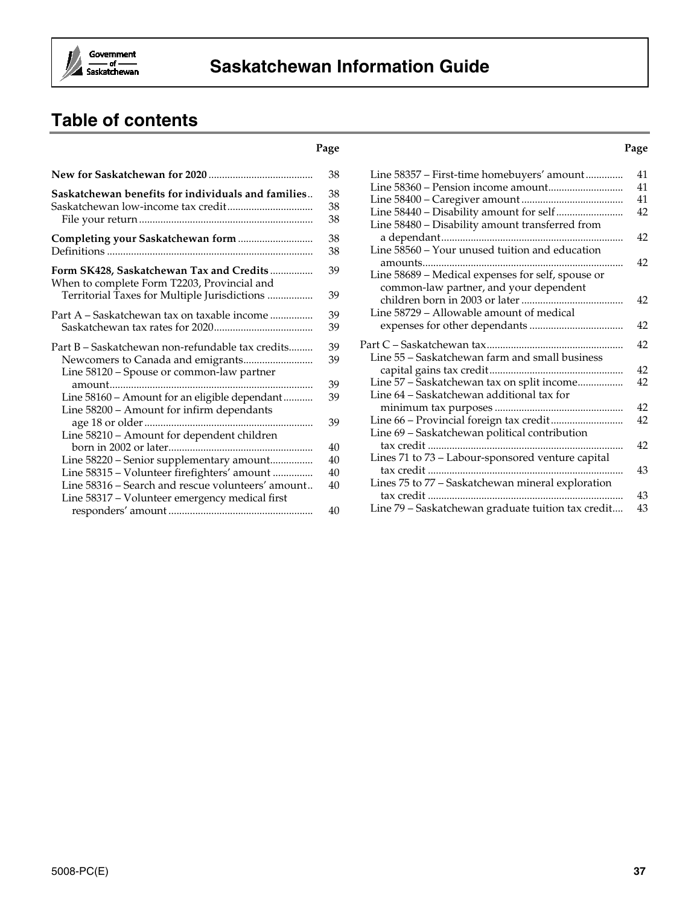

# **Saskatchewan Information Guide**

# **Table of contents**

#### **Page Page**

|                                                                                                                                         | 38             |
|-----------------------------------------------------------------------------------------------------------------------------------------|----------------|
| Saskatchewan benefits for individuals and families                                                                                      | 38<br>38<br>38 |
|                                                                                                                                         | 38<br>38       |
| Form SK428, Saskatchewan Tax and Credits<br>When to complete Form T2203, Provincial and<br>Territorial Taxes for Multiple Jurisdictions | 39<br>39       |
| Part A – Saskatchewan tax on taxable income                                                                                             | 39<br>39       |
| Part B – Saskatchewan non-refundable tax credits<br>Line 58120 – Spouse or common-law partner                                           | 39<br>39       |
| Line 58160 - Amount for an eligible dependant<br>Line 58200 - Amount for infirm dependants                                              | 39<br>39       |
| Line 58210 - Amount for dependent children                                                                                              | 39             |
| Line 58220 - Senior supplementary amount                                                                                                | 40<br>40       |
| Line 58315 - Volunteer firefighters' amount<br>Line 58316 – Search and rescue volunteers' amount                                        | 40<br>40       |
| Line 58317 - Volunteer emergency medical first                                                                                          | 40             |

| Line 58357 - First-time homebuyers' amount         | 41 |
|----------------------------------------------------|----|
| Line 58360 - Pension income amount                 | 41 |
|                                                    | 41 |
|                                                    | 42 |
| Line 58480 - Disability amount transferred from    | 42 |
|                                                    |    |
| Line 58560 - Your unused tuition and education     |    |
|                                                    | 42 |
| Line 58689 - Medical expenses for self, spouse or  |    |
| common-law partner, and your dependent             |    |
|                                                    | 42 |
| Line 58729 – Allowable amount of medical           |    |
|                                                    | 42 |
|                                                    | 42 |
| Line 55 - Saskatchewan farm and small business     |    |
|                                                    | 42 |
| Line 57 - Saskatchewan tax on split income         | 42 |
| Line 64 - Saskatchewan additional tax for          |    |
|                                                    | 42 |
| Line 66 - Provincial foreign tax credit            | 42 |
| Line 69 - Saskatchewan political contribution      |    |
| tax credit                                         | 42 |
| Lines 71 to 73 - Labour-sponsored venture capital  |    |
|                                                    | 43 |
| Lines 75 to 77 - Saskatchewan mineral exploration  |    |
|                                                    | 43 |
| Line 79 - Saskatchewan graduate tuition tax credit | 43 |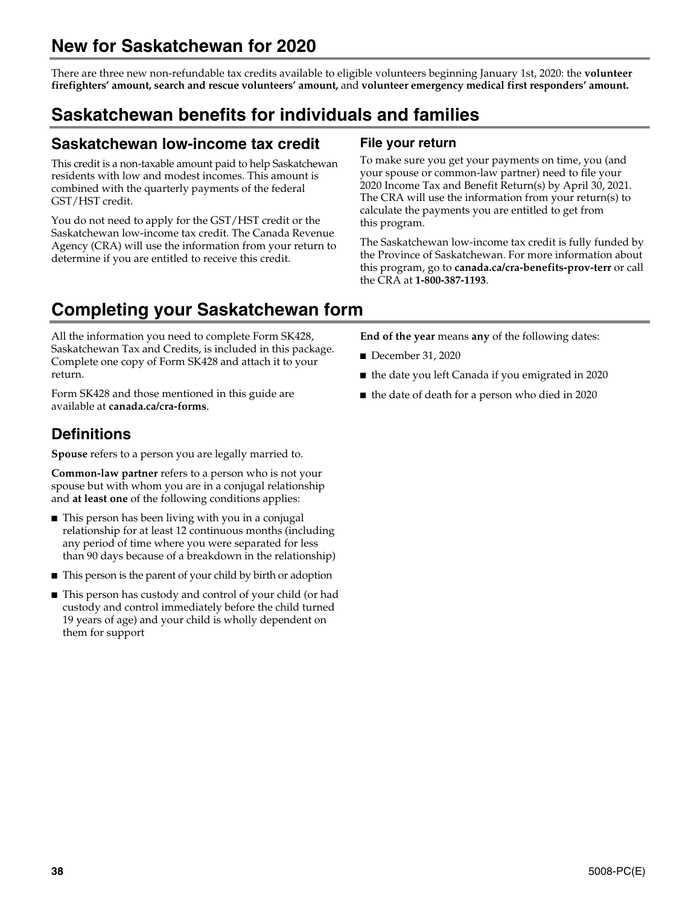# **New for Saskatchewan for 2020**

There are three new non-refundable tax credits available to eligible volunteers beginning January 1st, 2020: the **volunteer firefighters' amount, search and rescue volunteers' amount,** and **volunteer emergency medical first responders' amount.**

# **Saskatchewan benefits for individuals and families**

# **Saskatchewan low-income tax credit**

This credit is a non-taxable amount paid to help Saskatchewan residents with low and modest incomes. This amount is combined with the quarterly payments of the federal GST/HST credit.

You do not need to apply for the GST/HST credit or the Saskatchewan low-income tax credit. The Canada Revenue Agency (CRA) will use the information from your return to determine if you are entitled to receive this credit.

# **File your return**

To make sure you get your payments on time, you (and your spouse or common-law partner) need to file your 2020 Income Tax and Benefit Return(s) by April 30, 2021. The CRA will use the information from your return(s) to calculate the payments you are entitled to get from this program.

The Saskatchewan low-income tax credit is fully funded by the Province of Saskatchewan. For more information about this program, go to **canada.ca/cra-benefits-prov-terr** or call the CRA at **1-800-387-1193**.

# **Completing your Saskatchewan form**

All the information you need to complete Form SK428, Saskatchewan Tax and Credits, is included in this package. Complete one copy of Form SK428 and attach it to your return.

Form SK428 and those mentioned in this guide are available at **canada.ca/cra-forms**.

# **Definitions**

**Spouse** refers to a person you are legally married to.

**Common-law partner** refers to a person who is not your spouse but with whom you are in a conjugal relationship and **at least one** of the following conditions applies:

- This person has been living with you in a conjugal relationship for at least 12 continuous months (including any period of time where you were separated for less than 90 days because of a breakdown in the relationship)
- This person is the parent of your child by birth or adoption
- This person has custody and control of your child (or had custody and control immediately before the child turned 19 years of age) and your child is wholly dependent on them for support

**End of the year** means **any** of the following dates:

- December 31, 2020
- the date you left Canada if you emigrated in 2020
- the date of death for a person who died in 2020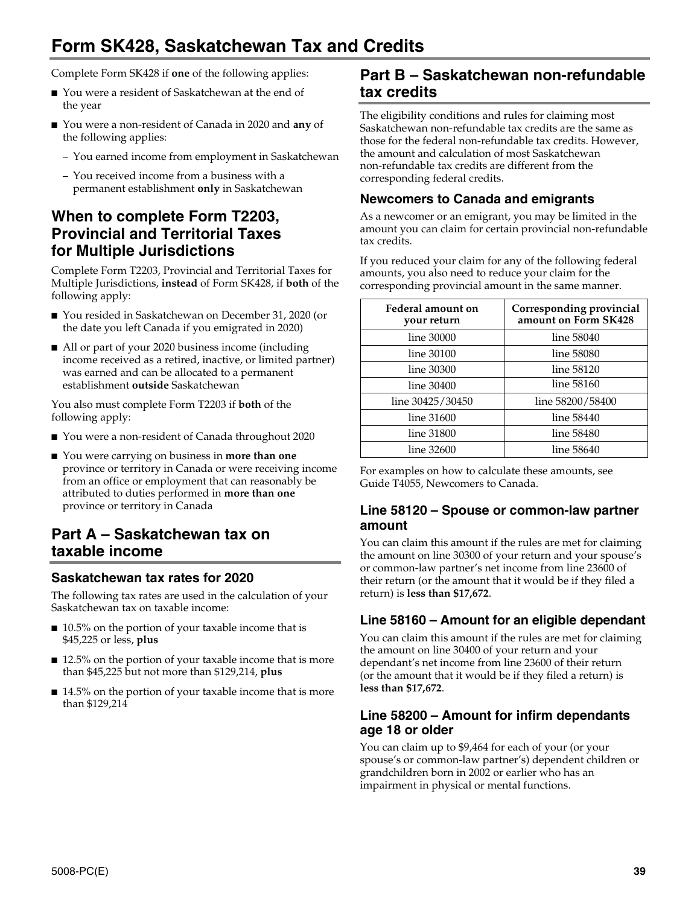# **Form SK428, Saskatchewan Tax and Credits**

Complete Form SK428 if **one** of the following applies:

- You were a resident of Saskatchewan at the end of the year
- You were a non-resident of Canada in 2020 and **any** of the following applies:
	- You earned income from employment in Saskatchewan
	- You received income from a business with a permanent establishment **only** in Saskatchewan

# **When to complete Form T2203, Provincial and Territorial Taxes for Multiple Jurisdictions**

Complete Form T2203, Provincial and Territorial Taxes for Multiple Jurisdictions, **instead** of Form SK428, if **both** of the following apply:

- You resided in Saskatchewan on December 31, 2020 (or the date you left Canada if you emigrated in 2020)
- All or part of your 2020 business income (including income received as a retired, inactive, or limited partner) was earned and can be allocated to a permanent establishment **outside** Saskatchewan

You also must complete Form T2203 if **both** of the following apply:

- You were a non-resident of Canada throughout 2020
- You were carrying on business in **more than one** province or territory in Canada or were receiving income from an office or employment that can reasonably be attributed to duties performed in **more than one** province or territory in Canada

# **Part A – Saskatchewan tax on taxable income**

# **Saskatchewan tax rates for 2020**

The following tax rates are used in the calculation of your Saskatchewan tax on taxable income:

- 10.5% on the portion of your taxable income that is \$45,225 or less, **plus**
- 12.5% on the portion of your taxable income that is more than \$45,225 but not more than \$129,214, **plus**
- 14.5% on the portion of your taxable income that is more than \$129,214

# **Part B – Saskatchewan non-refundable tax credits**

The eligibility conditions and rules for claiming most Saskatchewan non-refundable tax credits are the same as those for the federal non-refundable tax credits. However, the amount and calculation of most Saskatchewan non-refundable tax credits are different from the corresponding federal credits.

# **Newcomers to Canada and emigrants**

As a newcomer or an emigrant, you may be limited in the amount you can claim for certain provincial non-refundable tax credits.

If you reduced your claim for any of the following federal amounts, you also need to reduce your claim for the corresponding provincial amount in the same manner.

| Federal amount on<br>your return | Corresponding provincial<br>amount on Form SK428 |
|----------------------------------|--------------------------------------------------|
| line 30000                       | line 58040                                       |
| line 30100                       | line 58080                                       |
| line 30300                       | line 58120                                       |
| line 30400                       | line 58160                                       |
| line 30425/30450                 | line 58200/58400                                 |
| line 31600                       | line 58440                                       |
| line 31800                       | line 58480                                       |
| line 32600                       | line 58640                                       |

For examples on how to calculate these amounts, see Guide T4055, Newcomers to Canada.

## **Line 58120 – Spouse or common-law partner amount**

You can claim this amount if the rules are met for claiming the amount on line 30300 of your return and your spouse's or common-law partner's net income from line 23600 of their return (or the amount that it would be if they filed a return) is **less than \$17,672**.

# **Line 58160 – Amount for an eligible dependant**

You can claim this amount if the rules are met for claiming the amount on line 30400 of your return and your dependant's net income from line 23600 of their return (or the amount that it would be if they filed a return) is **less than \$17,672**.

## **Line 58200 – Amount for infirm dependants age 18 or older**

You can claim up to \$9,464 for each of your (or your spouse's or common-law partner's) dependent children or grandchildren born in 2002 or earlier who has an impairment in physical or mental functions.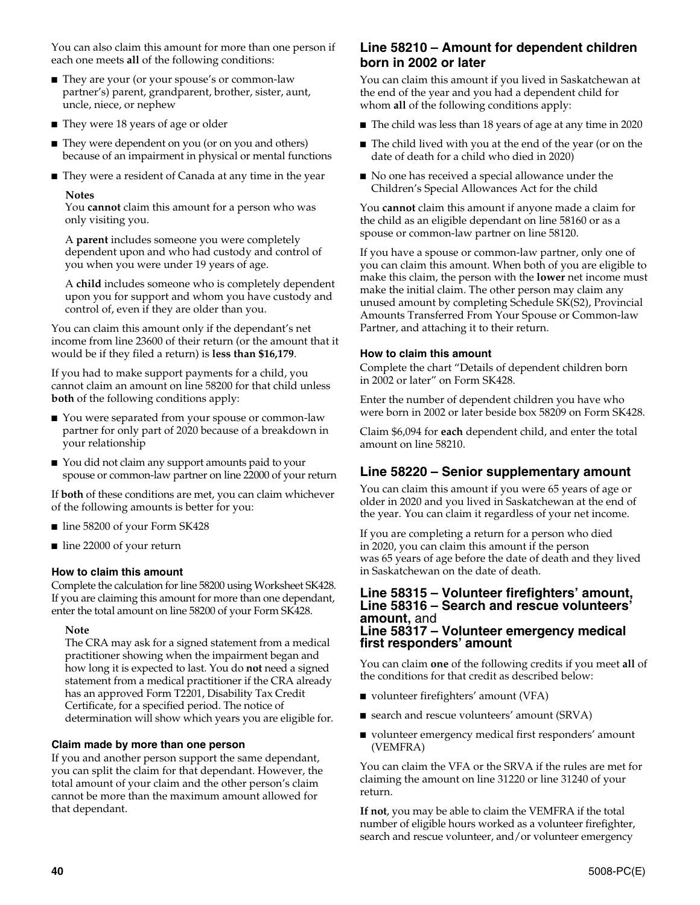You can also claim this amount for more than one person if each one meets **all** of the following conditions:

- They are your (or your spouse's or common-law partner's) parent, grandparent, brother, sister, aunt, uncle, niece, or nephew
- They were 18 years of age or older
- They were dependent on you (or on you and others) because of an impairment in physical or mental functions
- They were a resident of Canada at any time in the year

#### **Notes**

You **cannot** claim this amount for a person who was only visiting you.

A **parent** includes someone you were completely dependent upon and who had custody and control of you when you were under 19 years of age.

A **child** includes someone who is completely dependent upon you for support and whom you have custody and control of, even if they are older than you.

You can claim this amount only if the dependant's net income from line 23600 of their return (or the amount that it would be if they filed a return) is **less than \$16,179**.

If you had to make support payments for a child, you cannot claim an amount on line 58200 for that child unless **both** of the following conditions apply:

- You were separated from your spouse or common-law partner for only part of 2020 because of a breakdown in your relationship
- You did not claim any support amounts paid to your spouse or common-law partner on line 22000 of your return

If **both** of these conditions are met, you can claim whichever of the following amounts is better for you:

- line 58200 of your Form SK428
- line 22000 of your return

### **How to claim this amount**

Complete the calculation for line 58200 using Worksheet SK428. If you are claiming this amount for more than one dependant, enter the total amount on line 58200 of your Form SK428.

#### **Note**

The CRA may ask for a signed statement from a medical practitioner showing when the impairment began and how long it is expected to last. You do **not** need a signed statement from a medical practitioner if the CRA already has an approved Form T2201, Disability Tax Credit Certificate, for a specified period. The notice of determination will show which years you are eligible for.

### **Claim made by more than one person**

If you and another person support the same dependant, you can split the claim for that dependant. However, the total amount of your claim and the other person's claim cannot be more than the maximum amount allowed for that dependant.

# **Line 58210 – Amount for dependent children born in 2002 or later**

You can claim this amount if you lived in Saskatchewan at the end of the year and you had a dependent child for whom **all** of the following conditions apply:

- The child was less than 18 years of age at any time in 2020
- The child lived with you at the end of the year (or on the date of death for a child who died in 2020)
- No one has received a special allowance under the Children's Special Allowances Act for the child

You **cannot** claim this amount if anyone made a claim for the child as an eligible dependant on line 58160 or as a spouse or common-law partner on line 58120.

If you have a spouse or common-law partner, only one of you can claim this amount. When both of you are eligible to make this claim, the person with the **lower** net income must make the initial claim. The other person may claim any unused amount by completing Schedule SK(S2), Provincial Amounts Transferred From Your Spouse or Common-law Partner, and attaching it to their return.

### **How to claim this amount**

Complete the chart "Details of dependent children born in 2002 or later" on Form SK428.

Enter the number of dependent children you have who were born in 2002 or later beside box 58209 on Form SK428.

Claim \$6,094 for **each** dependent child, and enter the total amount on line 58210.

# **Line 58220 – Senior supplementary amount**

You can claim this amount if you were 65 years of age or older in 2020 and you lived in Saskatchewan at the end of the year. You can claim it regardless of your net income.

If you are completing a return for a person who died in 2020, you can claim this amount if the person was 65 years of age before the date of death and they lived in Saskatchewan on the date of death.

#### **Line 58315 – Volunteer firefighters' amount, Line 58316 – Search and rescue volunteers' amount,** and **Line 58317 – Volunteer emergency medical first responders' amount**

You can claim **one** of the following credits if you meet **all** of the conditions for that credit as described below:

- volunteer firefighters' amount (VFA)
- search and rescue volunteers' amount (SRVA)
- volunteer emergency medical first responders' amount (VEMFRA)

You can claim the VFA or the SRVA if the rules are met for claiming the amount on line 31220 or line 31240 of your return.

**If not**, you may be able to claim the VEMFRA if the total number of eligible hours worked as a volunteer firefighter, search and rescue volunteer, and/or volunteer emergency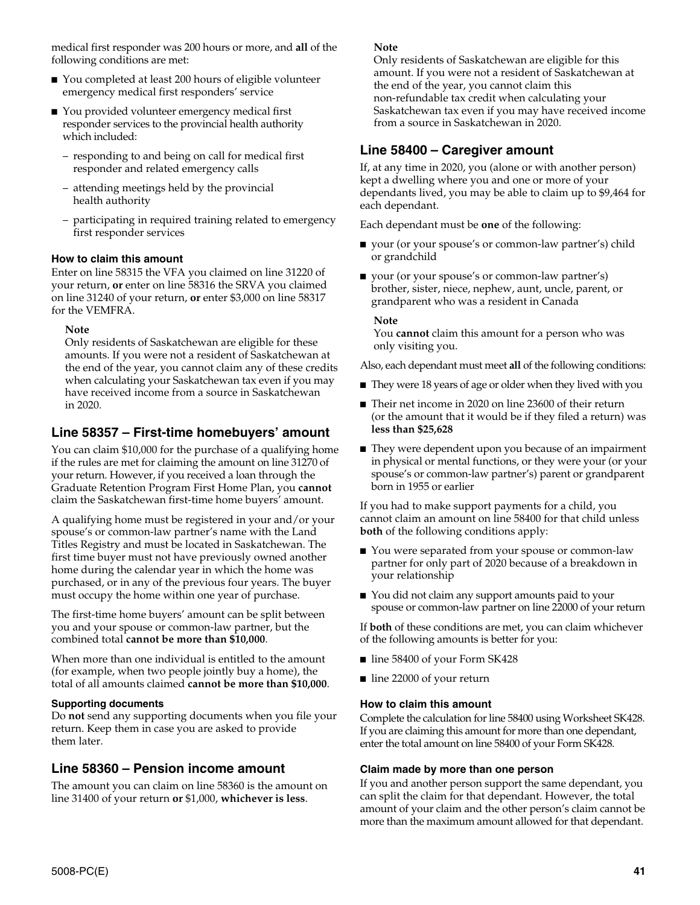medical first responder was 200 hours or more, and **all** of the following conditions are met:

- You completed at least 200 hours of eligible volunteer emergency medical first responders' service
- You provided volunteer emergency medical first responder services to the provincial health authority which included:
	- responding to and being on call for medical first responder and related emergency calls
	- attending meetings held by the provincial health authority
	- participating in required training related to emergency first responder services

### **How to claim this amount**

Enter on line 58315 the VFA you claimed on line 31220 of your return, **or** enter on line 58316 the SRVA you claimed on line 31240 of your return, **or** enter \$3,000 on line 58317 for the VEMFRA.

### **Note**

Only residents of Saskatchewan are eligible for these amounts. If you were not a resident of Saskatchewan at the end of the year, you cannot claim any of these credits when calculating your Saskatchewan tax even if you may have received income from a source in Saskatchewan in 2020.

# **Line 58357 – First-time homebuyers' amount**

You can claim \$10,000 for the purchase of a qualifying home if the rules are met for claiming the amount on line 31270 of your return. However, if you received a loan through the Graduate Retention Program First Home Plan, you **cannot** claim the Saskatchewan first-time home buyers' amount.

A qualifying home must be registered in your and/or your spouse's or common-law partner's name with the Land Titles Registry and must be located in Saskatchewan. The first time buyer must not have previously owned another home during the calendar year in which the home was purchased, or in any of the previous four years. The buyer must occupy the home within one year of purchase.

The first-time home buyers' amount can be split between you and your spouse or common-law partner, but the combined total **cannot be more than \$10,000**.

When more than one individual is entitled to the amount (for example, when two people jointly buy a home), the total of all amounts claimed **cannot be more than \$10,000**.

### **Supporting documents**

Do **not** send any supporting documents when you file your return. Keep them in case you are asked to provide them later.

# **Line 58360 – Pension income amount**

The amount you can claim on line 58360 is the amount on line 31400 of your return **or** \$1,000, **whichever is less**.

### **Note**

Only residents of Saskatchewan are eligible for this amount. If you were not a resident of Saskatchewan at the end of the year, you cannot claim this non-refundable tax credit when calculating your Saskatchewan tax even if you may have received income from a source in Saskatchewan in 2020.

# **Line 58400 – Caregiver amount**

If, at any time in 2020, you (alone or with another person) kept a dwelling where you and one or more of your dependants lived, you may be able to claim up to \$9,464 for each dependant.

Each dependant must be **one** of the following:

- your (or your spouse's or common-law partner's) child or grandchild
- your (or your spouse's or common-law partner's) brother, sister, niece, nephew, aunt, uncle, parent, or grandparent who was a resident in Canada

#### **Note**

You **cannot** claim this amount for a person who was only visiting you.

Also, each dependant must meet **all** of the following conditions:

- They were 18 years of age or older when they lived with you
- Their net income in 2020 on line 23600 of their return (or the amount that it would be if they filed a return) was **less than \$25,628**
- They were dependent upon you because of an impairment in physical or mental functions, or they were your (or your spouse's or common-law partner's) parent or grandparent born in 1955 or earlier

If you had to make support payments for a child, you cannot claim an amount on line 58400 for that child unless **both** of the following conditions apply:

- You were separated from your spouse or common-law partner for only part of 2020 because of a breakdown in your relationship
- You did not claim any support amounts paid to your spouse or common-law partner on line 22000 of your return

If **both** of these conditions are met, you can claim whichever of the following amounts is better for you:

- line 58400 of your Form SK428
- line 22000 of your return

### **How to claim this amount**

Complete the calculation for line 58400 using Worksheet SK428. If you are claiming this amount for more than one dependant, enter the total amount on line 58400 of your Form SK428.

### **Claim made by more than one person**

If you and another person support the same dependant, you can split the claim for that dependant. However, the total amount of your claim and the other person's claim cannot be more than the maximum amount allowed for that dependant.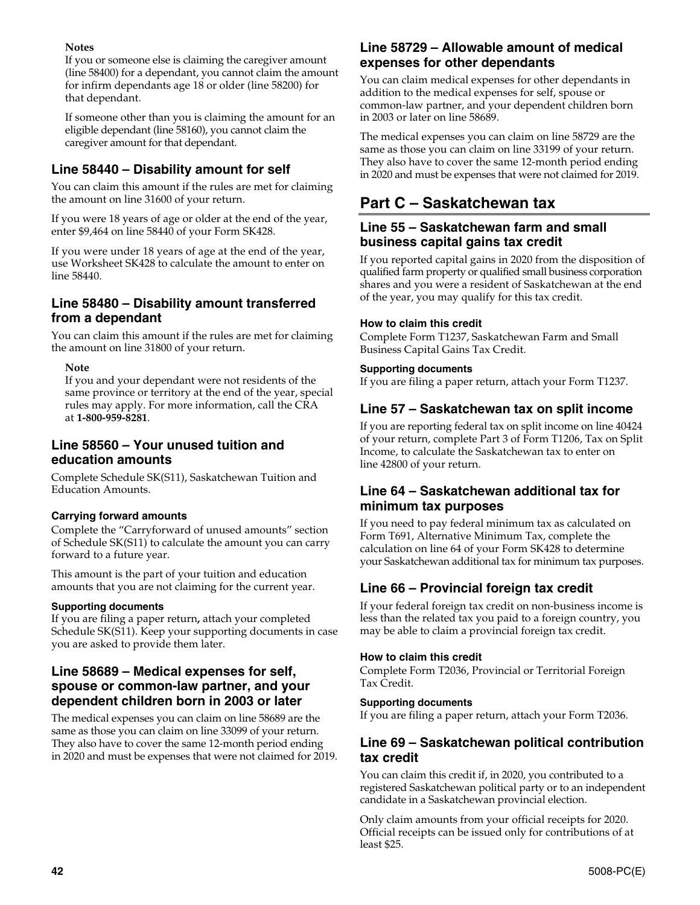## **Notes**

If you or someone else is claiming the caregiver amount (line 58400) for a dependant, you cannot claim the amount for infirm dependants age 18 or older (line 58200) for that dependant.

If someone other than you is claiming the amount for an eligible dependant (line 58160), you cannot claim the caregiver amount for that dependant.

# **Line 58440 – Disability amount for self**

You can claim this amount if the rules are met for claiming the amount on line 31600 of your return.

If you were 18 years of age or older at the end of the year, enter \$9,464 on line 58440 of your Form SK428.

If you were under 18 years of age at the end of the year, use Worksheet SK428 to calculate the amount to enter on line 58440.

# **Line 58480 – Disability amount transferred from a dependant**

You can claim this amount if the rules are met for claiming the amount on line 31800 of your return.

### **Note**

If you and your dependant were not residents of the same province or territory at the end of the year, special rules may apply. For more information, call the CRA at **1-800-959-8281**.

# **Line 58560 – Your unused tuition and education amounts**

Complete Schedule SK(S11), Saskatchewan Tuition and Education Amounts.

## **Carrying forward amounts**

Complete the "Carryforward of unused amounts" section of Schedule SK(S11) to calculate the amount you can carry forward to a future year.

This amount is the part of your tuition and education amounts that you are not claiming for the current year.

### **Supporting documents**

If you are filing a paper return**,** attach your completed Schedule SK(S11). Keep your supporting documents in case you are asked to provide them later.

# **Line 58689 – Medical expenses for self, spouse or common-law partner, and your dependent children born in 2003 or later**

The medical expenses you can claim on line 58689 are the same as those you can claim on line 33099 of your return. They also have to cover the same 12-month period ending in 2020 and must be expenses that were not claimed for 2019.

# **Line 58729 – Allowable amount of medical expenses for other dependants**

You can claim medical expenses for other dependants in addition to the medical expenses for self, spouse or common-law partner, and your dependent children born in 2003 or later on line 58689.

The medical expenses you can claim on line 58729 are the same as those you can claim on line 33199 of your return. They also have to cover the same 12-month period ending in 2020 and must be expenses that were not claimed for 2019.

# **Part C – Saskatchewan tax**

# **Line 55 – Saskatchewan farm and small business capital gains tax credit**

If you reported capital gains in 2020 from the disposition of qualified farm property or qualified small business corporation shares and you were a resident of Saskatchewan at the end of the year, you may qualify for this tax credit.

### **How to claim this credit**

Complete Form T1237, Saskatchewan Farm and Small Business Capital Gains Tax Credit.

### **Supporting documents**

If you are filing a paper return, attach your Form T1237.

# **Line 57 – Saskatchewan tax on split income**

If you are reporting federal tax on split income on line 40424 of your return, complete Part 3 of Form T1206, Tax on Split Income, to calculate the Saskatchewan tax to enter on line 42800 of your return.

# **Line 64 – Saskatchewan additional tax for minimum tax purposes**

If you need to pay federal minimum tax as calculated on Form T691, Alternative Minimum Tax, complete the calculation on line 64 of your Form SK428 to determine your Saskatchewan additional tax for minimum tax purposes.

# **Line 66 – Provincial foreign tax credit**

If your federal foreign tax credit on non-business income is less than the related tax you paid to a foreign country, you may be able to claim a provincial foreign tax credit.

### **How to claim this credit**

Complete Form T2036, Provincial or Territorial Foreign Tax Credit.

### **Supporting documents**

If you are filing a paper return, attach your Form T2036.

# **Line 69 – Saskatchewan political contribution tax credit**

You can claim this credit if, in 2020, you contributed to a registered Saskatchewan political party or to an independent candidate in a Saskatchewan provincial election.

Only claim amounts from your official receipts for 2020. Official receipts can be issued only for contributions of at least \$25.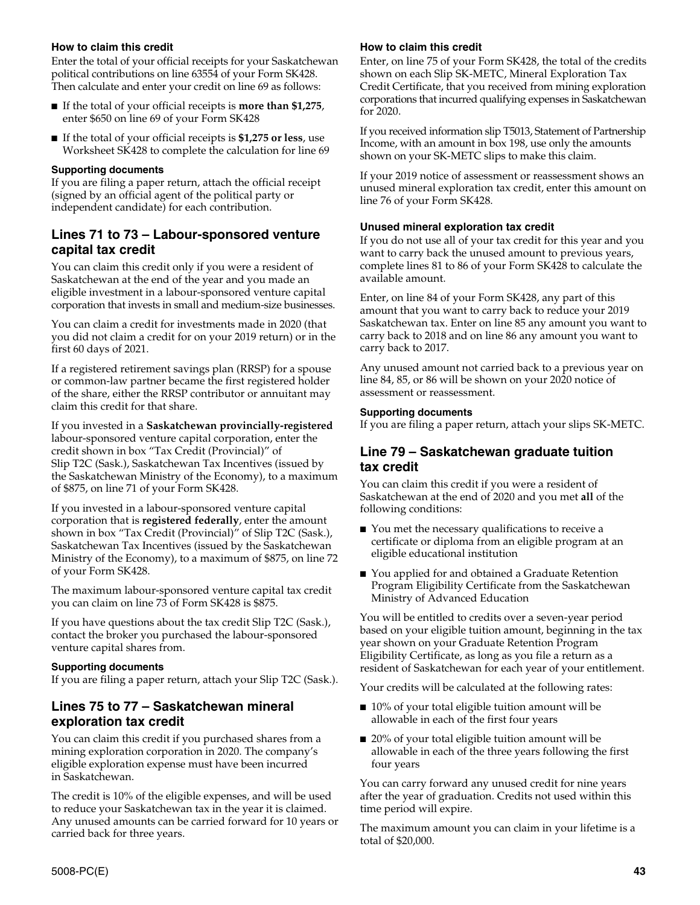### **How to claim this credit**

Enter the total of your official receipts for your Saskatchewan political contributions on line 63554 of your Form SK428. Then calculate and enter your credit on line 69 as follows:

- If the total of your official receipts is **more than \$1,275**, enter \$650 on line 69 of your Form SK428
- If the total of your official receipts is \$1,275 or less, use Worksheet SK428 to complete the calculation for line 69

#### **Supporting documents**

If you are filing a paper return, attach the official receipt (signed by an official agent of the political party or independent candidate) for each contribution.

## **Lines 71 to 73 – Labour-sponsored venture capital tax credit**

You can claim this credit only if you were a resident of Saskatchewan at the end of the year and you made an eligible investment in a labour-sponsored venture capital corporation that invests in small and medium-size businesses.

You can claim a credit for investments made in 2020 (that you did not claim a credit for on your 2019 return) or in the first 60 days of 2021.

If a registered retirement savings plan (RRSP) for a spouse or common-law partner became the first registered holder of the share, either the RRSP contributor or annuitant may claim this credit for that share.

If you invested in a **Saskatchewan provincially-registered** labour-sponsored venture capital corporation, enter the credit shown in box "Tax Credit (Provincial)" of Slip T2C (Sask.), Saskatchewan Tax Incentives (issued by the Saskatchewan Ministry of the Economy), to a maximum of \$875, on line 71 of your Form SK428.

If you invested in a labour-sponsored venture capital corporation that is **registered federally**, enter the amount shown in box "Tax Credit (Provincial)" of Slip T2C (Sask.), Saskatchewan Tax Incentives (issued by the Saskatchewan Ministry of the Economy), to a maximum of \$875, on line 72 of your Form SK428.

The maximum labour-sponsored venture capital tax credit you can claim on line 73 of Form SK428 is \$875.

If you have questions about the tax credit Slip T2C (Sask.), contact the broker you purchased the labour-sponsored venture capital shares from.

#### **Supporting documents**

If you are filing a paper return, attach your Slip T2C (Sask.).

## **Lines 75 to 77 – Saskatchewan mineral exploration tax credit**

You can claim this credit if you purchased shares from a mining exploration corporation in 2020. The company's eligible exploration expense must have been incurred in Saskatchewan.

The credit is 10% of the eligible expenses, and will be used to reduce your Saskatchewan tax in the year it is claimed. Any unused amounts can be carried forward for 10 years or carried back for three years.

#### **How to claim this credit**

Enter, on line 75 of your Form SK428, the total of the credits shown on each Slip SK-METC, Mineral Exploration Tax Credit Certificate, that you received from mining exploration corporations that incurred qualifying expenses in Saskatchewan for 2020.

If you received information slip T5013, Statement of Partnership Income, with an amount in box 198, use only the amounts shown on your SK-METC slips to make this claim.

If your 2019 notice of assessment or reassessment shows an unused mineral exploration tax credit, enter this amount on line 76 of your Form SK428.

#### **Unused mineral exploration tax credit**

If you do not use all of your tax credit for this year and you want to carry back the unused amount to previous years, complete lines 81 to 86 of your Form SK428 to calculate the available amount.

Enter, on line 84 of your Form SK428, any part of this amount that you want to carry back to reduce your 2019 Saskatchewan tax. Enter on line 85 any amount you want to carry back to 2018 and on line 86 any amount you want to carry back to 2017.

Any unused amount not carried back to a previous year on line 84, 85, or 86 will be shown on your 2020 notice of assessment or reassessment.

#### **Supporting documents**

If you are filing a paper return, attach your slips SK-METC.

### **Line 79 – Saskatchewan graduate tuition tax credit**

You can claim this credit if you were a resident of Saskatchewan at the end of 2020 and you met **all** of the following conditions:

- You met the necessary qualifications to receive a certificate or diploma from an eligible program at an eligible educational institution
- You applied for and obtained a Graduate Retention Program Eligibility Certificate from the Saskatchewan Ministry of Advanced Education

You will be entitled to credits over a seven-year period based on your eligible tuition amount, beginning in the tax year shown on your Graduate Retention Program Eligibility Certificate, as long as you file a return as a resident of Saskatchewan for each year of your entitlement.

Your credits will be calculated at the following rates:

- 10% of your total eligible tuition amount will be allowable in each of the first four years
- 20% of your total eligible tuition amount will be allowable in each of the three years following the first four years

You can carry forward any unused credit for nine years after the year of graduation. Credits not used within this time period will expire.

The maximum amount you can claim in your lifetime is a total of \$20,000.